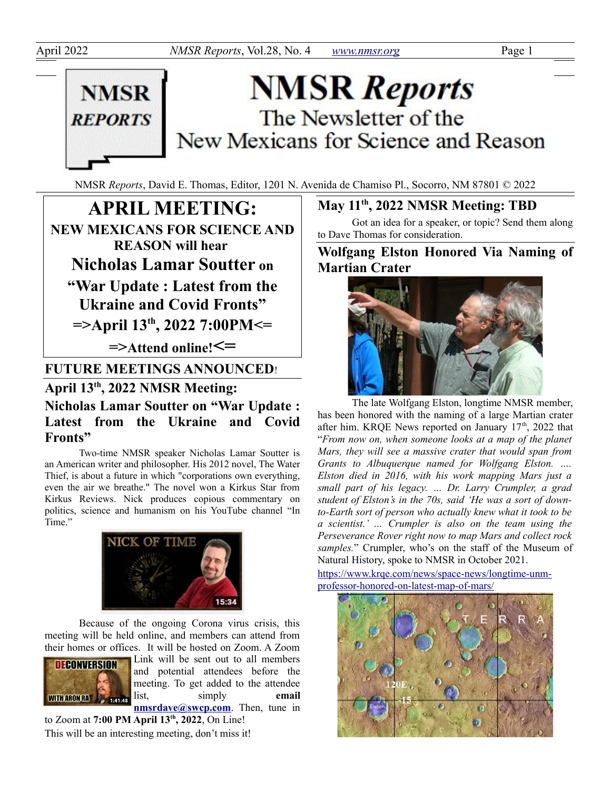

# **NMSR Reports** The Newsletter of the New Mexicans for Science and Reason

NMSR *Reports*, David E. Thomas, Editor, 1201 N. Avenida de Chamiso Pl., Socorro, NM 87801 © 2022

**APRIL MEETING: NEW MEXICANS FOR SCIENCE AND REASON will hear Nicholas Lamar Soutter on "War Update : Latest from the Ukraine and Covid Fronts" =>April 13th, 2022 7:00PM<= =>Attend online!<= FUTURE MEETINGS ANNOUNCED**!

## **April 13th, 2022 NMSR Meeting: Nicholas Lamar Soutter on "War Update : Latest from the Ukraine and Covid Fronts"**

Two-time NMSR speaker Nicholas Lamar Soutter is an American writer and philosopher. His 2012 novel, The Water Thief, is about a future in which "corporations own everything, even the air we breathe." The novel won a Kirkus Star from Kirkus Reviews. Nick produces copious commentary on politics, science and humanism on his YouTube channel "In Time."



Because of the ongoing Corona virus crisis, this meeting will be held online, and members can attend from their homes or offices. It will be hosted on Zoom. A Zoom



Link will be sent out to all members and potential attendees before the meeting. To get added to the attendee list, simply **email [nmsrdave@swcp.com](mailto:nmsrdave@swcp.com)**. Then, tune in

to Zoom at **7:00 PM April 13th, 2022**, On Line! This will be an interesting meeting, don't miss it!

### **May 11th, 2022 NMSR Meeting: TBD**

Got an idea for a speaker, or topic? Send them along to Dave Thomas for consideration.

**Wolfgang Elston Honored Via Naming of Martian Crater**



The late Wolfgang Elston, longtime NMSR member, has been honored with the naming of a large Martian crater after him. KRQE News reported on January  $17<sup>th</sup>$ , 2022 that "*From now on, when someone looks at a map of the planet Mars, they will see a massive crater that would span from Grants to Albuquerque named for Wolfgang Elston. …. Elston died in 2016, with his work mapping Mars just a small part of his legacy. … Dr. Larry Crumpler, a grad student of Elston's in the 70s, said 'He was a sort of downto-Earth sort of person who actually knew what it took to be a scientist.' … Crumpler is also on the team using the Perseverance Rover right now to map Mars and collect rock samples.*" Crumpler, who's on the staff of the Museum of Natural History, spoke to NMSR in October 2021.

[https://www.krqe.com/news/space-news/longtime-unm](https://www.krqe.com/news/space-news/longtime-unm-professor-honored-on-latest-map-of-mars/)[professor-honored-on-latest-map-of-mars/](https://www.krqe.com/news/space-news/longtime-unm-professor-honored-on-latest-map-of-mars/)

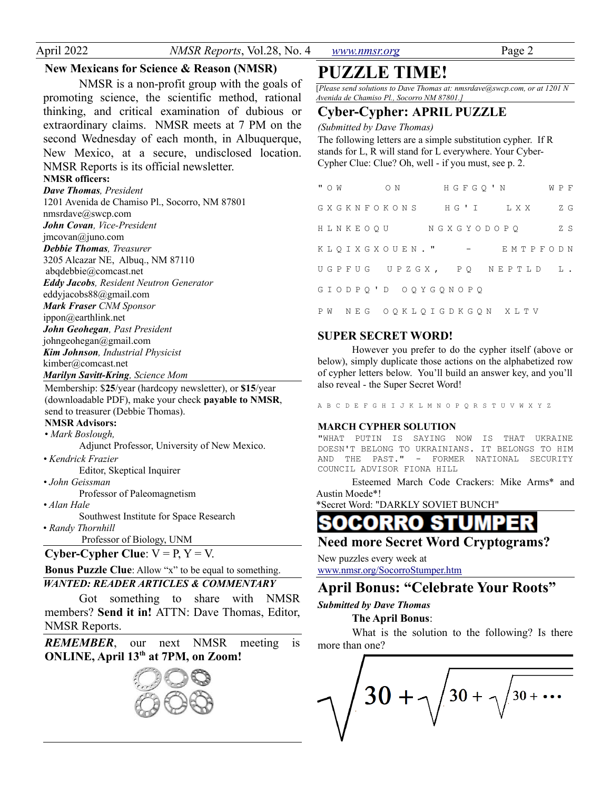April 2022 *NMSR Reports*, Vol.28, No. 4 *[www.nmsr.org](http://www.nmsr.org/)* Page 2

#### **New Mexicans for Science & Reason (NMSR)**

NMSR is a non-profit group with the goals of promoting science, the scientific method, rational thinking, and critical examination of dubious or extraordinary claims. NMSR meets at 7 PM on the second Wednesday of each month, in Albuquerque, New Mexico, at a secure, undisclosed location. NMSR Reports is its official newsletter.

### **NMSR officers:**

*Dave Thomas, President* 1201 Avenida de Chamiso Pl., Socorro, NM 87801 nmsrdave@swcp.com *John Covan, Vice-President* jmcovan@juno.com *Debbie Thomas, Treasurer* 3205 Alcazar NE, Albuq., NM 87110 abqdebbie@comcast.net *Eddy Jacobs, Resident Neutron Generator* eddyjacobs88@gmail.com *Mark Fraser CNM Sponsor* ippon@earthlink.net *John Geohegan, Past President* johngeohegan@gmail.com *Kim Johnson, Industrial Physicist* kimber@comcast.net *Marilyn Savitt-Kring, Science Mom*

Membership: \$**25**/year (hardcopy newsletter), or **\$15**/year (downloadable PDF), make your check **payable to NMSR**, send to treasurer (Debbie Thomas).

#### **NMSR Advisors:**

• *Mark Boslough,* 

Adjunct Professor, University of New Mexico.

*• Kendrick Frazier* Editor, Skeptical Inquirer

#### *• John Geissman*

Professor of Paleomagnetism

*• Alan Hale*

Southwest Institute for Space Research • *Randy Thornhill*

Professor of Biology, UNM

**Cyber-Cypher Clue**:  $V = P$ ,  $Y = V$ .

#### **Bonus Puzzle Clue**: Allow "x" to be equal to something.

### *WANTED: READER ARTICLES & COMMENTARY*

Got something to share with NMSR members? **Send it in!** ATTN: Dave Thomas, Editor, NMSR Reports.

*REMEMBER*, our next NMSR meeting is **ONLINE, April 13th at 7PM, on Zoom!**



## **PUZZLE TIME!**

[*Please send solutions to Dave Thomas at: nmsrdave@swcp.com, or at 1201 N Avenida de Chamiso Pl., Socorro NM 87801.]*

#### **Cyber-Cypher: APRIL PUZZLE**

*(Submitted by Dave Thomas)*

The following letters are a simple substitution cypher. If R stands for L, R will stand for L everywhere. Your Cyber-Cypher Clue: Clue? Oh, well - if you must, see p. 2.

| " O W |  |  |  |  |                    |  |  |  | ON HGFGO'N WPF             |  |  |  |     |
|-------|--|--|--|--|--------------------|--|--|--|----------------------------|--|--|--|-----|
|       |  |  |  |  |                    |  |  |  | GXGKNFOKONS HG'I LXX       |  |  |  | Z G |
|       |  |  |  |  |                    |  |  |  | HLNKEOOU NGXGYODOPO        |  |  |  | ZS. |
|       |  |  |  |  | KLOIXGXOUEN. "     |  |  |  | – EMTPFODN                 |  |  |  |     |
|       |  |  |  |  |                    |  |  |  | UGPFUG UPZGX, PQ NEPTLD L. |  |  |  |     |
|       |  |  |  |  | GIODPQ'D OQYGQNOPQ |  |  |  |                            |  |  |  |     |
|       |  |  |  |  |                    |  |  |  | PW NEG OOKLOIGDKGON XLTV   |  |  |  |     |

#### **SUPER SECRET WORD!**

However you prefer to do the cypher itself (above or below), simply duplicate those actions on the alphabetized row of cypher letters below. You'll build an answer key, and you'll also reveal - the Super Secret Word!

A B C D E F G H I J K L M N O P Q R S T U V W X Y Z

#### **MARCH CYPHER SOLUTION**

"WHAT PUTIN IS SAYING NOW IS THAT UKRAINE DOESN'T BELONG TO UKRAINIANS. IT BELONGS TO HIM AND THE PAST." - FORMER NATIONAL SECURITY COUNCIL ADVISOR FIONA HILL

Esteemed March Code Crackers: Mike Arms\* and Austin Moede\*!

\*Secret Word: "DARKLY SOVIET BUNCH"

#### RRO CO STU

### **Need more Secret Word Cryptograms?**

New puzzles every week at www.nmsr.org/SocorroStumper.htm

### **April Bonus: "Celebrate Your Roots"**

#### *Submitted by Dave Thomas*

**The April Bonus**:

What is the solution to the following? Is there more than one?

 $30 + .$  $30 + \cdots$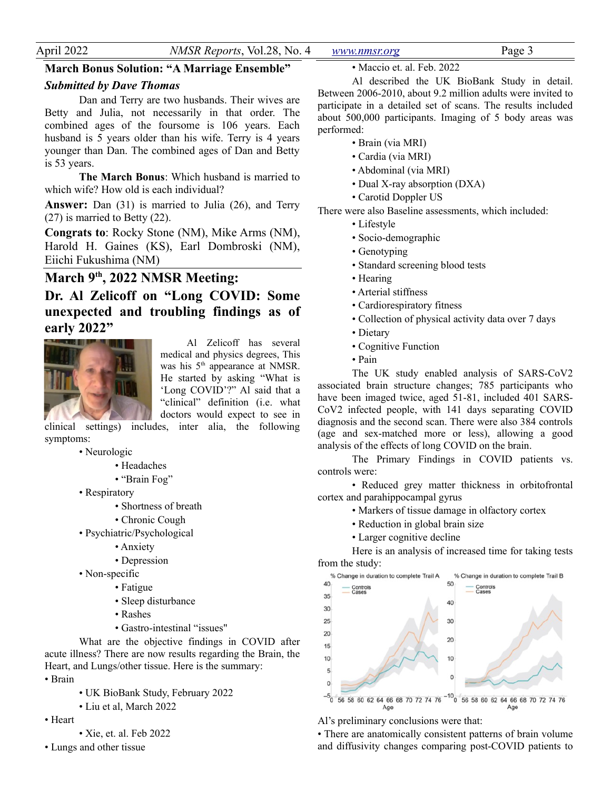| A nr      |    |             | າບ<br>N <sub>0</sub><br>$\sim$<br>VO I |                                           |  |
|-----------|----|-------------|----------------------------------------|-------------------------------------------|--|
| ---<br>__ | -- | $\sim$<br>. | $  -$                                  | $\sim$ $\sim$ $\sim$<br>.<br>$\mathbf{r}$ |  |

#### **March Bonus Solution: "A Marriage Ensemble"**

### *Submitted by Dave Thomas*

Dan and Terry are two husbands. Their wives are Betty and Julia, not necessarily in that order. The combined ages of the foursome is 106 years. Each husband is 5 years older than his wife. Terry is 4 years younger than Dan. The combined ages of Dan and Betty is 53 years.

**The March Bonus**: Which husband is married to which wife? How old is each individual?

**Answer:** Dan (31) is married to Julia (26), and Terry (27) is married to Betty (22).

**Congrats to**: Rocky Stone (NM), Mike Arms (NM), Harold H. Gaines (KS), Earl Dombroski (NM), Eiichi Fukushima (NM)

### **March 9th, 2022 NMSR Meeting:**

**Dr. Al Zelicoff on "Long COVID: Some unexpected and troubling findings as of early 2022"**



Al Zelicoff has several medical and physics degrees, This was his 5<sup>th</sup> appearance at NMSR. He started by asking "What is 'Long COVID'?" Al said that a "clinical" definition (i.e. what doctors would expect to see in

clinical settings) includes, inter alia, the following symptoms:

- Neurologic
	- Headaches
	- "Brain Fog"
- Respiratory
	- Shortness of breath
	- Chronic Cough
- Psychiatric/Psychological
	- Anxiety
	- Depression
- Non-specific
	- Fatigue
		- Sleep disturbance
		- Rashes
		- Gastro-intestinal "issues"

What are the objective findings in COVID after acute illness? There are now results regarding the Brain, the Heart, and Lungs/other tissue. Here is the summary:

- Brain
	- UK BioBank Study, February 2022
	- Liu et al, March 2022
- Heart
- Xie, et. al. Feb 2022
- Lungs and other tissue

• Maccio et. al. Feb. 2022

Al described the UK BioBank Study in detail. Between 2006-2010, about 9.2 million adults were invited to participate in a detailed set of scans. The results included about 500,000 participants. Imaging of 5 body areas was performed:

- Brain (via MRI)
- Cardia (via MRI)
- Abdominal (via MRI)
- Dual X-ray absorption (DXA)
- Carotid Doppler US

There were also Baseline assessments, which included:

- Lifestyle
- Socio-demographic
- Genotyping
- Standard screening blood tests
- Hearing
- Arterial stiffness
- Cardiorespiratory fitness
- Collection of physical activity data over 7 days
- Dietary
- Cognitive Function
- Pain

The UK study enabled analysis of SARS-CoV2 associated brain structure changes; 785 participants who have been imaged twice, aged 51-81, included 401 SARS-CoV2 infected people, with 141 days separating COVID diagnosis and the second scan. There were also 384 controls (age and sex-matched more or less), allowing a good analysis of the effects of long COVID on the brain.

The Primary Findings in COVID patients vs. controls were:

• Reduced grey matter thickness in orbitofrontal cortex and parahippocampal gyrus

- Markers of tissue damage in olfactory cortex
- Reduction in global brain size
- Larger cognitive decline

Here is an analysis of increased time for taking tests from the study:



Al's preliminary conclusions were that:

• There are anatomically consistent patterns of brain volume and diffusivity changes comparing post-COVID patients to